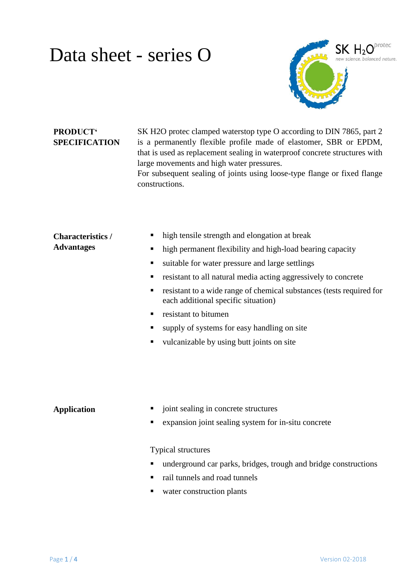# Data sheet - series O



## **PRODUCT' SPECIFICATION**

SK H2O protec clamped waterstop type O according to DIN 7865, part 2 is a permanently flexible profile made of elastomer, SBR or EPDM, that is used as replacement sealing in waterproof concrete structures with large movements and high water pressures. For subsequent sealing of joints using loose-type flange or fixed flange constructions.

#### **Characteristics / Advantages** • high tensile strength and elongation at break • high permanent flexibility and high-load bearing capacity suitable for water pressure and large settlings resistant to all natural media acting aggressively to concrete **resistant to a wide range of chemical substances (tests required for** each additional specific situation)

- $\blacksquare$  resistant to bitumen
- supply of systems for easy handling on site
- $\blacksquare$  vulcanizable by using butt joints on site

- **Application**  $\blacksquare$  joint sealing in concrete structures
	- expansion joint sealing system for in-situ concrete

#### Typical structures

- underground car parks, bridges, trough and bridge constructions
- rail tunnels and road tunnels
- water construction plants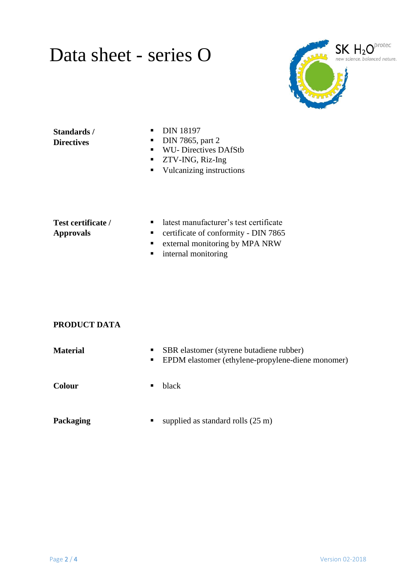# Data sheet - series O



### **Standards / Directives**

- **DIN 18197**
- $\n **DIN 7865**, part 2\n$
- **WU- Directives DAfStb**
- ZTV-ING, Riz-Ing
- Vulcanizing instructions

### **Test certificate / Approvals**

- latest manufacturer's test certificate
- **•** certificate of conformity DIN 7865
- **External monitoring by MPA NRW**
- **n** internal monitoring

# **PRODUCT DATA**

| <b>Material</b> | SBR elastomer (styrene butadiene rubber)<br>• EPDM elastomer (ethylene-propylene-diene monomer) |
|-----------------|-------------------------------------------------------------------------------------------------|
| <b>Colour</b>   | black                                                                                           |
| Packaging       | supplied as standard rolls $(25 \text{ m})$<br>п                                                |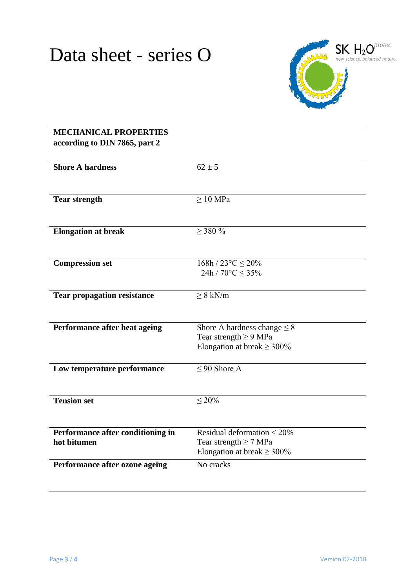

| <b>MECHANICAL PROPERTIES</b><br>according to DIN 7865, part 2 |                                                                                                   |
|---------------------------------------------------------------|---------------------------------------------------------------------------------------------------|
| <b>Shore A hardness</b>                                       | $62 \pm 5$                                                                                        |
| <b>Tear strength</b>                                          | $\geq 10$ MPa                                                                                     |
| <b>Elongation at break</b>                                    | $>$ 380 %                                                                                         |
| <b>Compression set</b>                                        | $168h / 23^{\circ}C \leq 20\%$<br>24h / $70^{\circ}$ C $\leq$ 35%                                 |
| <b>Tear propagation resistance</b>                            | $\geq 8$ kN/m                                                                                     |
| Performance after heat ageing                                 | Shore A hardness change $\leq 8$<br>Tear strength $\geq$ 9 MPa<br>Elongation at break $\geq$ 300% |
| Low temperature performance                                   | $\overline{0.05}$ Shore A                                                                         |
| <b>Tension set</b>                                            | ${}<$ 20%                                                                                         |
| Performance after conditioning in<br>hot bitumen              | Residual deformation $< 20\%$<br>Tear strength $\geq$ 7 MPa<br>Elongation at break $\geq$ 300%    |
| Performance after ozone ageing                                | No cracks                                                                                         |